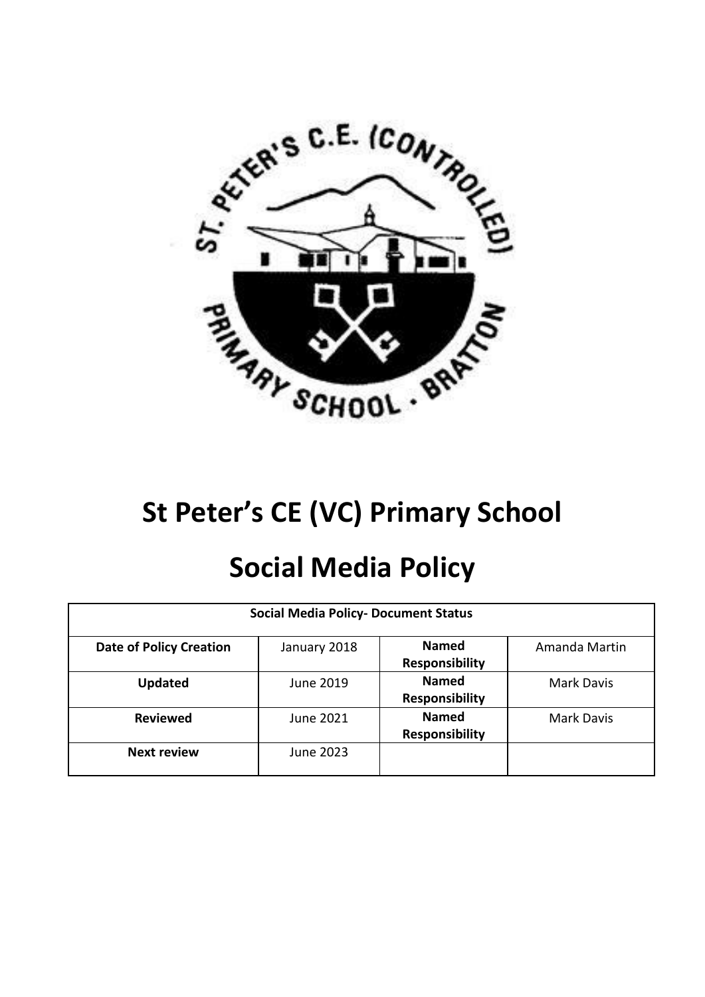

# **St Peter's CE (VC) Primary School**

# **Social Media Policy**

| <b>Social Media Policy- Document Status</b> |              |                                       |                   |
|---------------------------------------------|--------------|---------------------------------------|-------------------|
| <b>Date of Policy Creation</b>              | January 2018 | <b>Named</b><br><b>Responsibility</b> | Amanda Martin     |
| <b>Updated</b>                              | June 2019    | <b>Named</b><br><b>Responsibility</b> | Mark Davis        |
| <b>Reviewed</b>                             | June 2021    | <b>Named</b><br>Responsibility        | <b>Mark Davis</b> |
| <b>Next review</b>                          | June 2023    |                                       |                   |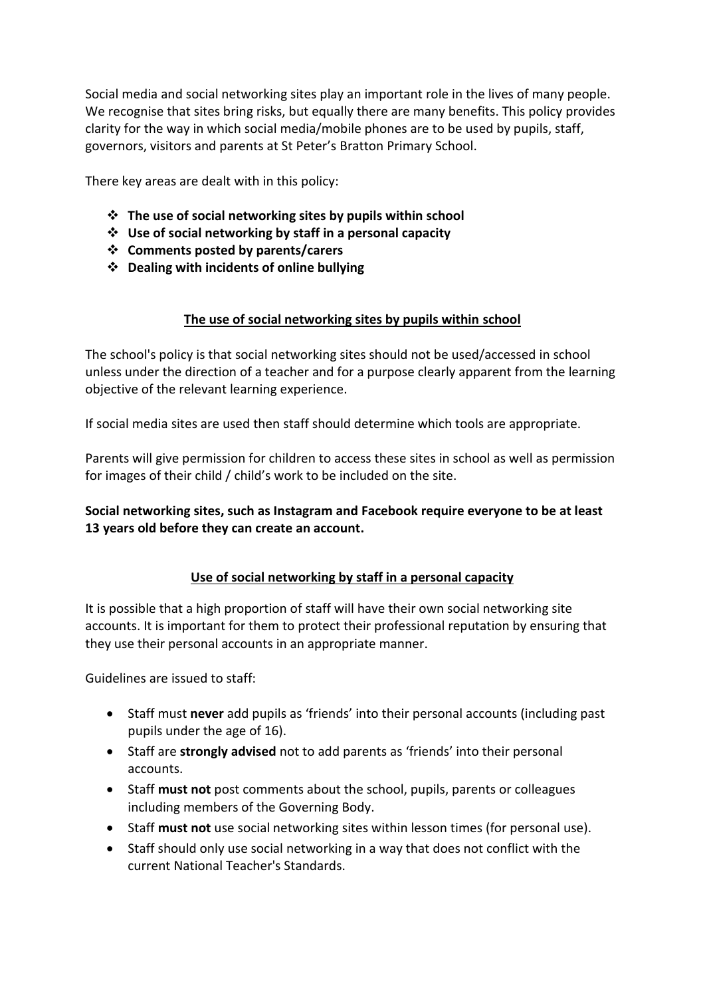Social media and social networking sites play an important role in the lives of many people. We recognise that sites bring risks, but equally there are many benefits. This policy provides clarity for the way in which social media/mobile phones are to be used by pupils, staff, governors, visitors and parents at St Peter's Bratton Primary School.

There key areas are dealt with in this policy:

- ❖ **The use of social networking sites by pupils within school**
- ❖ **Use of social networking by staff in a personal capacity**
- ❖ **Comments posted by parents/carers**
- ❖ **Dealing with incidents of online bullying**

#### **The use of social networking sites by pupils within school**

The school's policy is that social networking sites should not be used/accessed in school unless under the direction of a teacher and for a purpose clearly apparent from the learning objective of the relevant learning experience.

If social media sites are used then staff should determine which tools are appropriate.

Parents will give permission for children to access these sites in school as well as permission for images of their child / child's work to be included on the site.

**Social networking sites, such as Instagram and Facebook require everyone to be at least 13 years old before they can create an account.**

### **Use of social networking by staff in a personal capacity**

It is possible that a high proportion of staff will have their own social networking site accounts. It is important for them to protect their professional reputation by ensuring that they use their personal accounts in an appropriate manner.

Guidelines are issued to staff:

- Staff must **never** add pupils as 'friends' into their personal accounts (including past pupils under the age of 16).
- Staff are **strongly advised** not to add parents as 'friends' into their personal accounts.
- Staff **must not** post comments about the school, pupils, parents or colleagues including members of the Governing Body.
- Staff **must not** use social networking sites within lesson times (for personal use).
- Staff should only use social networking in a way that does not conflict with the current National Teacher's Standards.